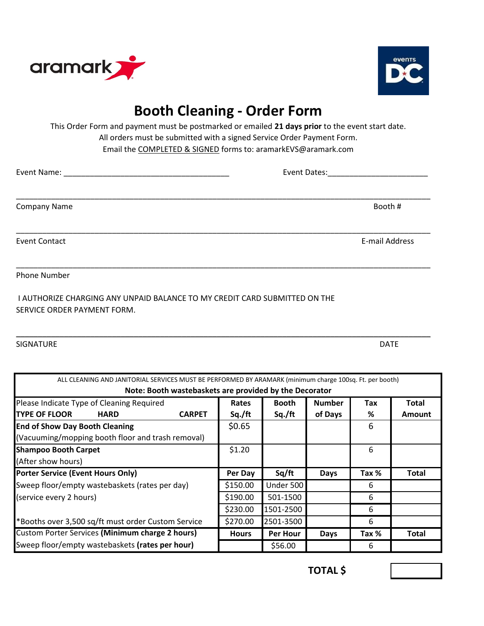



## **Booth Cleaning - Order Form**

This Order Form and payment must be postmarked or emailed **21 days prior** to the event start date. All orders must be submitted with a signed Service Order Payment Form. Email the COMPLETED & SIGNED forms to: aramarkEVS@aramark.com

| <b>Company Name</b>  | Booth #        |
|----------------------|----------------|
| <b>Event Contact</b> | E-mail Address |
| Phone Number         |                |

\_\_\_\_\_\_\_\_\_\_\_\_\_\_\_\_\_\_\_\_\_\_\_\_\_\_\_\_\_\_\_\_\_\_\_\_\_\_\_\_\_\_\_\_\_\_\_\_\_\_\_\_\_\_\_\_\_\_\_\_\_\_\_\_\_\_\_\_\_\_\_\_\_\_\_\_\_\_\_\_\_\_\_\_\_\_\_\_\_\_\_\_\_\_\_

 I AUTHORIZE CHARGING ANY UNPAID BALANCE TO MY CREDIT CARD SUBMITTED ON THE SERVICE ORDER PAYMENT FORM.

SIGNATURE

DATE

| ALL CLEANING AND JANITORIAL SERVICES MUST BE PERFORMED BY ARAMARK (minimum charge 100sq. Ft. per booth) |               |              |                 |               |       |               |  |  |
|---------------------------------------------------------------------------------------------------------|---------------|--------------|-----------------|---------------|-------|---------------|--|--|
| Note: Booth wastebaskets are provided by the Decorator                                                  |               |              |                 |               |       |               |  |  |
| Please Indicate Type of Cleaning Required                                                               |               | Rates        | <b>Booth</b>    | <b>Number</b> | Tax   | Total         |  |  |
| <b>TYPE OF FLOOR</b><br><b>HARD</b>                                                                     | <b>CARPET</b> | Sq./ft       | Sq./ft          | of Days       | %     | <b>Amount</b> |  |  |
| <b>End of Show Day Booth Cleaning</b>                                                                   |               | \$0.65       |                 |               | 6     |               |  |  |
| (Vacuuming/mopping booth floor and trash removal)                                                       |               |              |                 |               |       |               |  |  |
| <b>Shampoo Booth Carpet</b>                                                                             |               | \$1.20       |                 |               | 6     |               |  |  |
| (After show hours)                                                                                      |               |              |                 |               |       |               |  |  |
| <b>Porter Service (Event Hours Only)</b>                                                                |               | Per Day      | Sq/ft           | <b>Days</b>   | Tax % | <b>Total</b>  |  |  |
| Sweep floor/empty wastebaskets (rates per day)                                                          |               | \$150.00     | Under 500       |               | 6     |               |  |  |
| (service every 2 hours)                                                                                 |               | \$190.00     | 501-1500        |               | 6     |               |  |  |
|                                                                                                         |               | \$230.00     | 1501-2500       |               | 6     |               |  |  |
| *Booths over 3,500 sq/ft must order Custom Service                                                      |               | \$270.00     | 2501-3500       |               | 6     |               |  |  |
| <b>Custom Porter Services (Minimum charge 2 hours)</b>                                                  |               | <b>Hours</b> | <b>Per Hour</b> | <b>Days</b>   | Tax % | <b>Total</b>  |  |  |
| Sweep floor/empty wastebaskets (rates per hour)                                                         |               |              | \$56.00         |               | 6     |               |  |  |